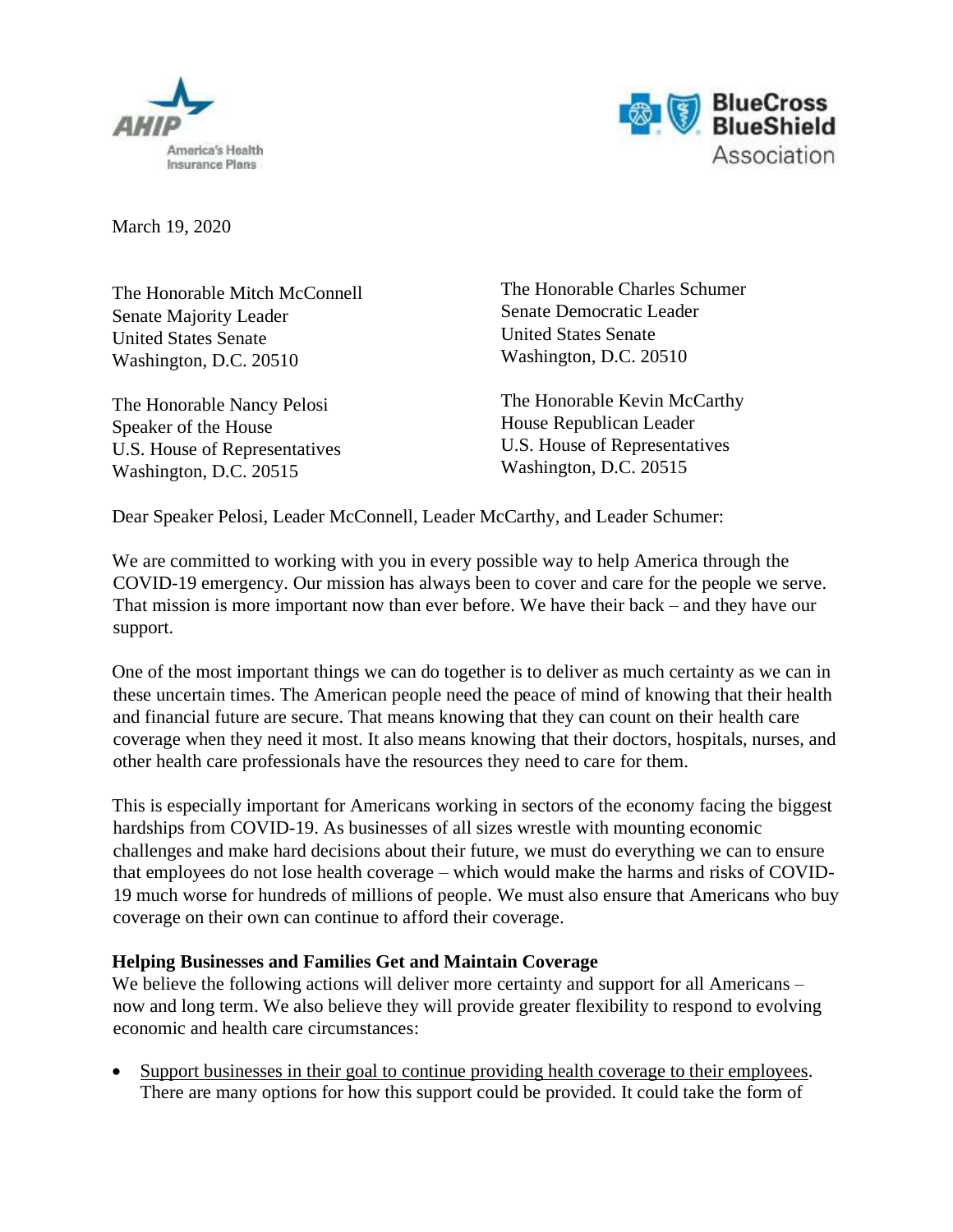



March 19, 2020

The Honorable Mitch McConnell Senate Majority Leader United States Senate Washington, D.C. 20510

The Honorable Nancy Pelosi Speaker of the House U.S. House of Representatives Washington, D.C. 20515

The Honorable Charles Schumer Senate Democratic Leader United States Senate Washington, D.C. 20510

The Honorable Kevin McCarthy House Republican Leader U.S. House of Representatives Washington, D.C. 20515

Dear Speaker Pelosi, Leader McConnell, Leader McCarthy, and Leader Schumer:

We are committed to working with you in every possible way to help America through the COVID-19 emergency. Our mission has always been to cover and care for the people we serve. That mission is more important now than ever before. We have their back – and they have our support.

One of the most important things we can do together is to deliver as much certainty as we can in these uncertain times. The American people need the peace of mind of knowing that their health and financial future are secure. That means knowing that they can count on their health care coverage when they need it most. It also means knowing that their doctors, hospitals, nurses, and other health care professionals have the resources they need to care for them.

This is especially important for Americans working in sectors of the economy facing the biggest hardships from COVID-19. As businesses of all sizes wrestle with mounting economic challenges and make hard decisions about their future, we must do everything we can to ensure that employees do not lose health coverage – which would make the harms and risks of COVID-19 much worse for hundreds of millions of people. We must also ensure that Americans who buy coverage on their own can continue to afford their coverage.

## **Helping Businesses and Families Get and Maintain Coverage**

We believe the following actions will deliver more certainty and support for all Americans – now and long term. We also believe they will provide greater flexibility to respond to evolving economic and health care circumstances:

Support businesses in their goal to continue providing health coverage to their employees. There are many options for how this support could be provided. It could take the form of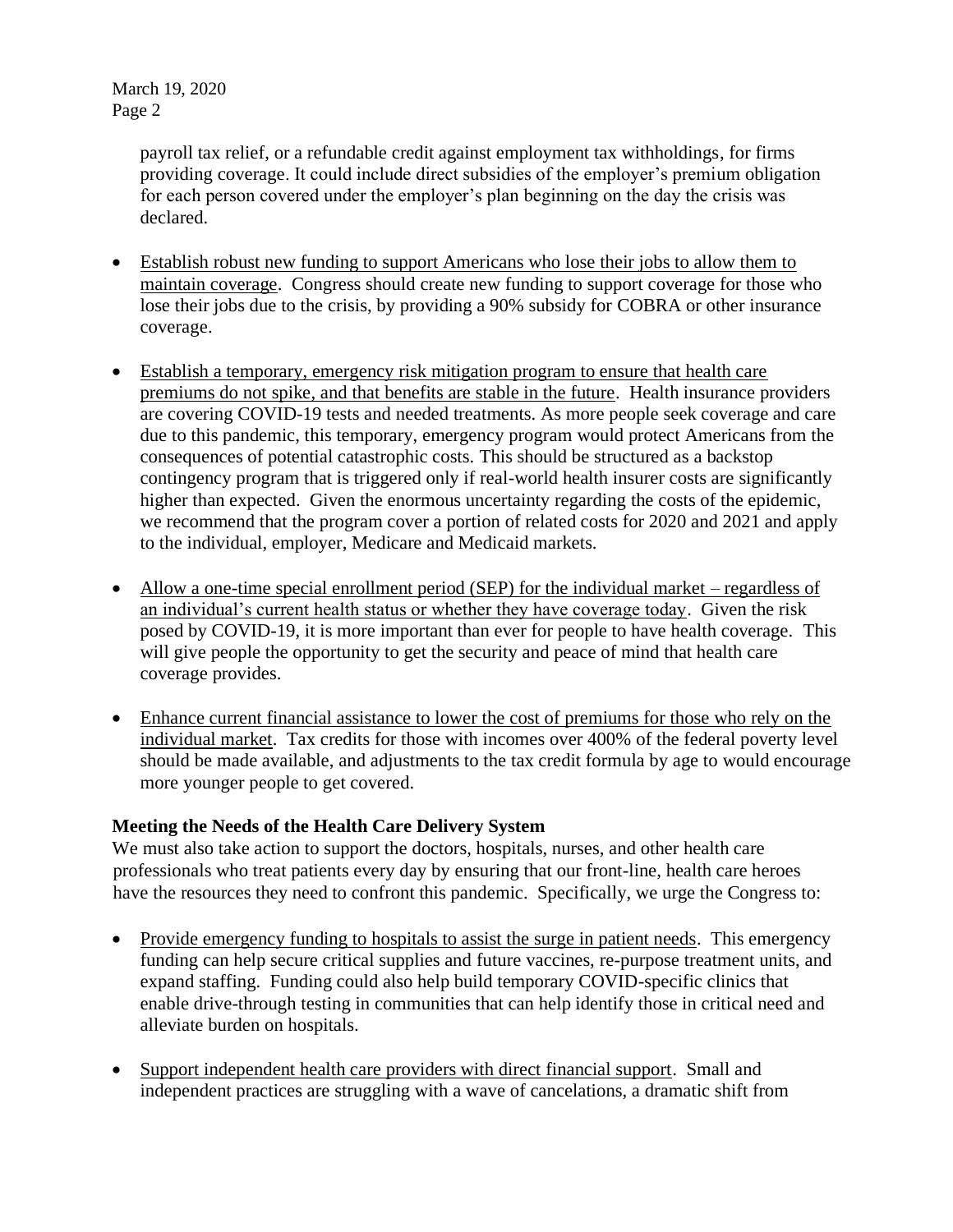March 19, 2020 Page 2

> payroll tax relief, or a refundable credit against employment tax withholdings, for firms providing coverage. It could include direct subsidies of the employer's premium obligation for each person covered under the employer's plan beginning on the day the crisis was declared.

- Establish robust new funding to support Americans who lose their jobs to allow them to maintain coverage.Congress should create new funding to support coverage for those who lose their jobs due to the crisis, by providing a 90% subsidy for COBRA or other insurance coverage.
- Establish a temporary, emergency risk mitigation program to ensure that health care premiums do not spike, and that benefits are stable in the future.Health insurance providers are covering COVID-19 tests and needed treatments. As more people seek coverage and care due to this pandemic, this temporary, emergency program would protect Americans from the consequences of potential catastrophic costs. This should be structured as a backstop contingency program that is triggered only if real-world health insurer costs are significantly higher than expected. Given the enormous uncertainty regarding the costs of the epidemic, we recommend that the program cover a portion of related costs for 2020 and 2021 and apply to the individual, employer, Medicare and Medicaid markets.
- Allow a one-time special enrollment period (SEP) for the individual market regardless of an individual's current health status or whether they have coverage today.Given the risk posed by COVID-19, it is more important than ever for people to have health coverage. This will give people the opportunity to get the security and peace of mind that health care coverage provides.
- Enhance current financial assistance to lower the cost of premiums for those who rely on the individual market.Tax credits for those with incomes over 400% of the federal poverty level should be made available, and adjustments to the tax credit formula by age to would encourage more younger people to get covered.

## **Meeting the Needs of the Health Care Delivery System**

We must also take action to support the doctors, hospitals, nurses, and other health care professionals who treat patients every day by ensuring that our front-line, health care heroes have the resources they need to confront this pandemic. Specifically, we urge the Congress to:

- Provide emergency funding to hospitals to assist the surge in patient needs. This emergency funding can help secure critical supplies and future vaccines, re-purpose treatment units, and expand staffing. Funding could also help build temporary COVID-specific clinics that enable drive-through testing in communities that can help identify those in critical need and alleviate burden on hospitals.
- Support independent health care providers with direct financial support. Small and independent practices are struggling with a wave of cancelations, a dramatic shift from